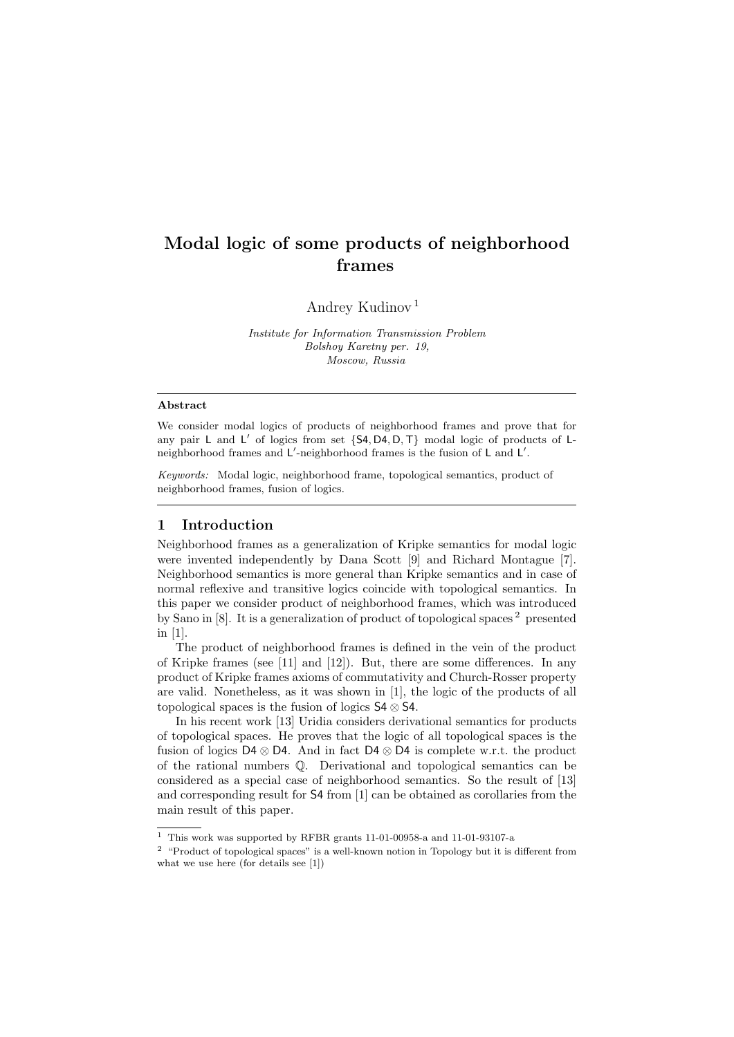# Modal logic of some products of neighborhood frames

Andrey Kudinov [1](#page-0-0)

Institute for Information Transmission Problem Bolshoy Karetny per. 19, Moscow, Russia

#### Abstract

We consider modal logics of products of neighborhood frames and prove that for any pair  $L$  and  $L'$  of logics from set  $\{S4, D4, D, T\}$  modal logic of products of  $L$ neighborhood frames and L'-neighborhood frames is the fusion of L and L'.

Keywords: Modal logic, neighborhood frame, topological semantics, product of neighborhood frames, fusion of logics.

## 1 Introduction

Neighborhood frames as a generalization of Kripke semantics for modal logic were invented independently by Dana Scott [\[9\]](#page-8-0) and Richard Montague [\[7\]](#page-8-1). Neighborhood semantics is more general than Kripke semantics and in case of normal reflexive and transitive logics coincide with topological semantics. In this paper we consider product of neighborhood frames, which was introduced by Sano in [\[8\]](#page-8-2). It is a generalization of product of topological spaces [2](#page-0-1) presented in [\[1\]](#page-8-3).

The product of neighborhood frames is defined in the vein of the product of Kripke frames (see [\[11\]](#page-8-4) and [\[12\]](#page-8-5)). But, there are some differences. In any product of Kripke frames axioms of commutativity and Church-Rosser property are valid. Nonetheless, as it was shown in [\[1\]](#page-8-3), the logic of the products of all topological spaces is the fusion of logics  $S4 \otimes S4$ .

In his recent work [\[13\]](#page-8-6) Uridia considers derivational semantics for products of topological spaces. He proves that the logic of all topological spaces is the fusion of logics D4 ⊗ D4. And in fact D4 ⊗ D4 is complete w.r.t. the product of the rational numbers Q. Derivational and topological semantics can be considered as a special case of neighborhood semantics. So the result of [\[13\]](#page-8-6) and corresponding result for S4 from [\[1\]](#page-8-3) can be obtained as corollaries from the main result of this paper.

<span id="page-0-0"></span> $^{\rm 1}$  This work was supported by RFBR grants 11-01-00958-a and 11-01-93107-a

<span id="page-0-1"></span><sup>2</sup> "Product of topological spaces" is a well-known notion in Topology but it is different from what we use here (for details see [\[1\]](#page-8-3))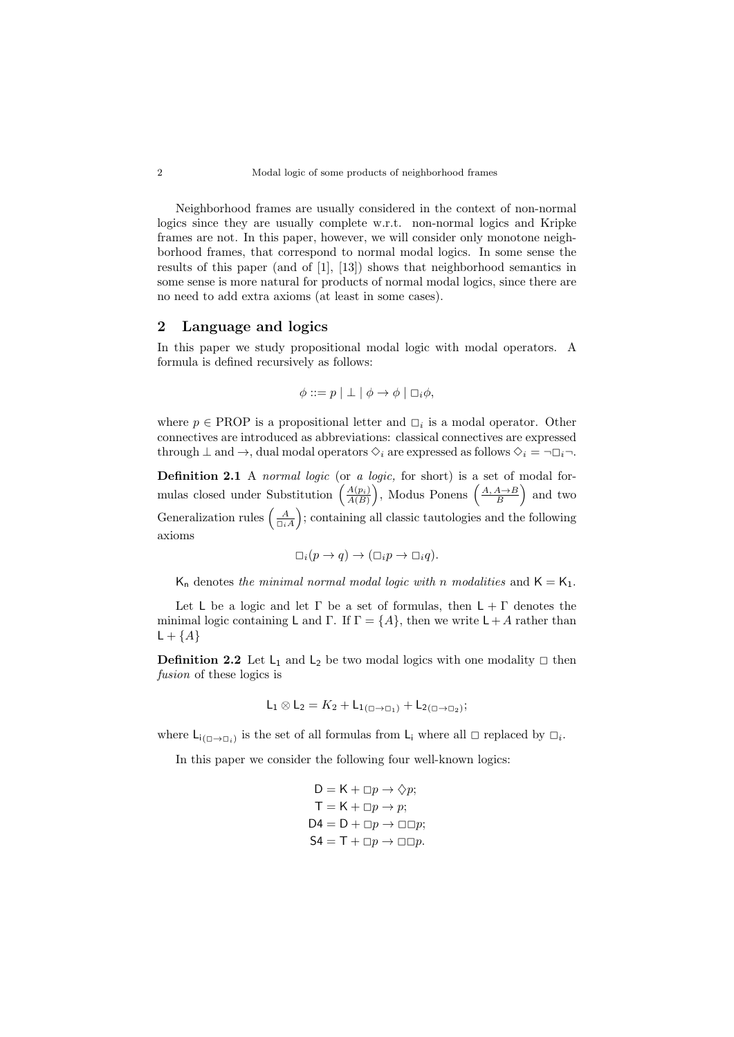Neighborhood frames are usually considered in the context of non-normal logics since they are usually complete w.r.t. non-normal logics and Kripke frames are not. In this paper, however, we will consider only monotone neighborhood frames, that correspond to normal modal logics. In some sense the results of this paper (and of [\[1\]](#page-8-3), [\[13\]](#page-8-6)) shows that neighborhood semantics in some sense is more natural for products of normal modal logics, since there are no need to add extra axioms (at least in some cases).

### 2 Language and logics

In this paper we study propositional modal logic with modal operators. A formula is defined recursively as follows:

$$
\phi ::= p \mid \perp \mid \phi \rightarrow \phi \mid \Box_i \phi,
$$

where  $p \in \text{PROP}$  is a propositional letter and  $\Box_i$  is a modal operator. Other connectives are introduced as abbreviations: classical connectives are expressed through  $\perp$  and  $\rightarrow$ , dual modal operators  $\Diamond_i$  are expressed as follows  $\Diamond_i = \neg \Box_i \neg$ .

Definition 2.1 A normal logic (or a logic, for short) is a set of modal formulas closed under Substitution  $\left(\frac{A(p_i)}{A(B)}\right)$ , Modus Ponens  $\left(\frac{A, A\rightarrow B}{B}\right)$  and two Generalization rules  $\left(\frac{A}{\Box_i A}\right)$  ; containing all classic tautologies and the following axioms

$$
\Box_i(p \to q) \to (\Box_i p \to \Box_i q).
$$

 $K_n$  denotes the minimal normal modal logic with n modalities and  $K = K_1$ .

Let L be a logic and let  $\Gamma$  be a set of formulas, then  $L + \Gamma$  denotes the minimal logic containing L and Γ. If  $\Gamma = \{A\}$ , then we write  $\mathsf{L} + A$  rather than  $\mathsf{L} + \{A\}$ 

**Definition 2.2** Let  $L_1$  and  $L_2$  be two modal logics with one modality  $\Box$  then fusion of these logics is

$$
L_1 \otimes L_2 = K_2 + L_{1(\square \to \square_1)} + L_{2(\square \to \square_2)};
$$

where  $\mathsf{L}_{i(\Box \to \Box_i)}$  is the set of all formulas from  $\mathsf{L}_i$  where all  $\Box$  replaced by  $\Box_i$ .

In this paper we consider the following four well-known logics:

$$
D = K + \Box p \rightarrow \Diamond p;
$$
  
\n
$$
T = K + \Box p \rightarrow p;
$$
  
\n
$$
D4 = D + \Box p \rightarrow \Box \Box p;
$$
  
\n
$$
S4 = T + \Box p \rightarrow \Box \Box p.
$$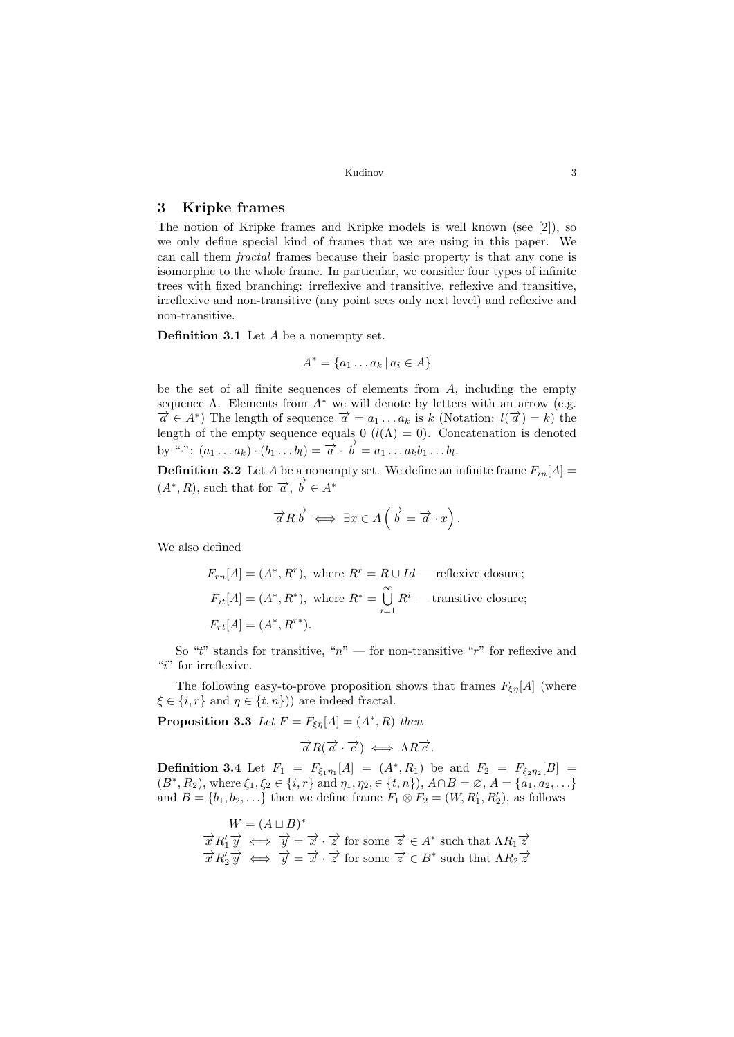## 3 Kripke frames

The notion of Kripke frames and Kripke models is well known (see [\[2\]](#page-8-7)), so we only define special kind of frames that we are using in this paper. We can call them fractal frames because their basic property is that any cone is isomorphic to the whole frame. In particular, we consider four types of infinite trees with fixed branching: irreflexive and transitive, reflexive and transitive, irreflexive and non-transitive (any point sees only next level) and reflexive and non-transitive.

Definition 3.1 Let A be a nonempty set.

$$
A^* = \{a_1 \dots a_k \mid a_i \in A\}
$$

be the set of all finite sequences of elements from  $A$ , including the empty sequence  $\Lambda$ . Elements from  $A^*$  we will denote by letters with an arrow (e.g.  $\overrightarrow{a} \in A^*$ ) The length of sequence  $\overrightarrow{a} = a_1 \dots a_k$  is k (Notation:  $l(\overrightarrow{a}) = k$ ) the length of the empty sequence equals 0 ( $l(\Lambda) = 0$ ). Concatenation is denoted by ".":  $(a_1 \ldots a_k) \cdot (b_1 \ldots b_l) = \overrightarrow{a} \cdot \overrightarrow{b} = a_1 \ldots a_k b_1 \ldots b_l.$ 

**Definition 3.2** Let A be a nonempty set. We define an infinite frame  $F_{in}[A] =$  $(A^*, R)$ , such that for  $\overrightarrow{a}$ ,  $\overrightarrow{b} \in A^*$ 

$$
\overrightarrow{a}R\overrightarrow{b} \iff \exists x \in A\left(\overrightarrow{b} = \overrightarrow{a} \cdot x\right).
$$

We also defined

$$
F_{rn}[A] = (A^*, R^r)
$$
, where  $R^r = R \cup Id$  — reflexive closure;  
\n $F_{it}[A] = (A^*, R^*)$ , where  $R^* = \bigcup_{i=1}^{\infty} R^i$  — transitive closure;  
\n $F_{rt}[A] = (A^*, R^{r*})$ .

So "t" stands for transitive, " $n$ " — for non-transitive "r" for reflexive and "i" for irreflexive.

The following easy-to-prove proposition shows that frames  $F_{\xi\eta}[A]$  (where  $\xi \in \{i, r\}$  and  $\eta \in \{t, n\})$  are indeed fractal.

**Proposition 3.3** Let  $F = F_{\xi\eta}[A] = (A^*, R)$  then

$$
\vec{a}R(\vec{a}\cdot\vec{c}) \iff \Lambda R\vec{c}.
$$

<span id="page-2-0"></span>**Definition 3.4** Let  $F_1 = F_{\xi_1 \eta_1}[A] = (A^*, R_1)$  be and  $F_2 = F_{\xi_2 \eta_2}[B] =$  $(B^*, R_2)$ , where  $\xi_1, \xi_2 \in \{i, r\}$  and  $\eta_1, \eta_2, \in \{t, n\}$ ,  $A \cap B = \emptyset$ ,  $A = \{a_1, a_2, \dots\}$ and  $B = \{b_1, b_2, \ldots\}$  then we define frame  $F_1 \otimes F_2 = (W, R'_1, R'_2)$ , as follows

$$
W = (A \sqcup B)^*
$$
  
\n $\overrightarrow{x} R'_1 \overrightarrow{y} \iff \overrightarrow{y} = \overrightarrow{x} \cdot \overrightarrow{z}$  for some  $\overrightarrow{z} \in A^*$  such that  $\Lambda R_1 \overrightarrow{z}$   
\n $\overrightarrow{x} R'_2 \overrightarrow{y} \iff \overrightarrow{y} = \overrightarrow{x} \cdot \overrightarrow{z}$  for some  $\overrightarrow{z} \in B^*$  such that  $\Lambda R_2 \overrightarrow{z}$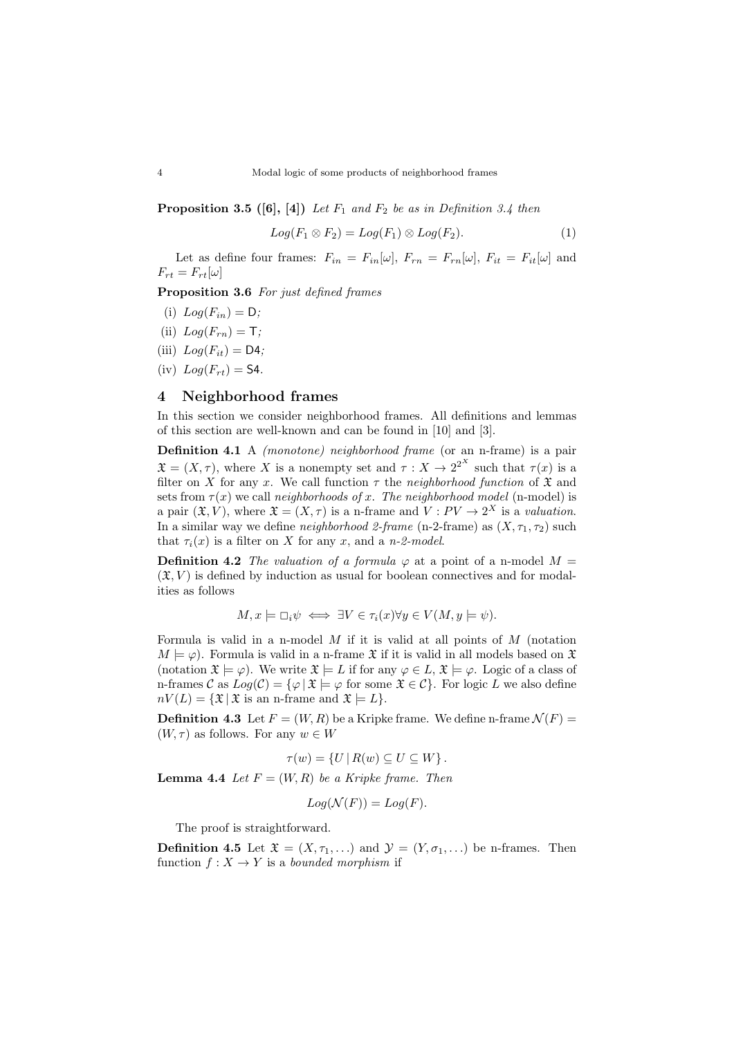**Proposition 3.5** ([\[6\]](#page-8-8), [\[4\]](#page-8-9)) Let  $F_1$  and  $F_2$  be as in Definition [3.4](#page-2-0) then

$$
Log(F_1 \otimes F_2) = Log(F_1) \otimes Log(F_2).
$$
 (1)

Let as define four frames:  $F_{in} = F_{in}[\omega], F_{rn} = F_{rn}[\omega], F_{it} = F_{it}[\omega]$  and  $F_{rt} = F_{rt}[\omega]$ 

<span id="page-3-2"></span>Proposition 3.6 For just defined frames

- (i)  $Log(F_{in}) = D;$
- (ii)  $Log(F_{rn}) = T;$
- (iii)  $Log(F_{it}) = \mathsf{D4};$
- (iv)  $Log(F_{rt}) =$  **S4**.

## 4 Neighborhood frames

In this section we consider neighborhood frames. All definitions and lemmas of this section are well-known and can be found in [\[10\]](#page-8-10) and [\[3\]](#page-8-11).

Definition 4.1 A *(monotone)* neighborhood frame (or an n-frame) is a pair  $\mathfrak{X} = (X, \tau)$ , where X is a nonempty set and  $\tau : X \to 2^{2^X}$  such that  $\tau(x)$  is a filter on X for any x. We call function  $\tau$  the neighborhood function of  $\mathfrak X$  and sets from  $\tau(x)$  we call neighborhoods of x. The neighborhood model (n-model) is a pair  $(\mathfrak{X}, V)$ , where  $\mathfrak{X} = (X, \tau)$  is a n-frame and  $V : PV \to 2^X$  is a valuation. In a similar way we define *neighborhood 2-frame* (n-2-frame) as  $(X, \tau_1, \tau_2)$  such that  $\tau_i(x)$  is a filter on X for any x, and a n-2-model.

**Definition 4.2** The valuation of a formula  $\varphi$  at a point of a n-model  $M =$  $(\mathfrak{X}, V)$  is defined by induction as usual for boolean connectives and for modalities as follows

$$
M, x \models \Box_i \psi \iff \exists V \in \tau_i(x) \forall y \in V(M, y \models \psi).
$$

Formula is valid in a n-model  $M$  if it is valid at all points of  $M$  (notation  $M \models \varphi$ . Formula is valid in a n-frame  $\mathfrak X$  if it is valid in all models based on  $\mathfrak X$ (notation  $\mathfrak{X} \models \varphi$ ). We write  $\mathfrak{X} \models L$  if for any  $\varphi \in L$ ,  $\mathfrak{X} \models \varphi$ . Logic of a class of n-frames C as  $Log(\mathcal{C}) = \{ \varphi \mid \mathfrak{X} \models \varphi \text{ for some } \mathfrak{X} \in \mathcal{C} \}.$  For logic L we also define  $nV(L) = {\mathfrak{X} \mid \mathfrak{X} \text{ is an n-frame and } \mathfrak{X} \models L}.$ 

**Definition 4.3** Let  $F = (W, R)$  be a Kripke frame. We define n-frame  $\mathcal{N}(F)$  =  $(W, \tau)$  as follows. For any  $w \in W$ 

$$
\tau(w) = \{ U \mid R(w) \subseteq U \subseteq W \}.
$$

<span id="page-3-0"></span>**Lemma 4.4** Let  $F = (W, R)$  be a Kripke frame. Then

$$
Log(\mathcal{N}(F)) = Log(F).
$$

The proof is straightforward.

<span id="page-3-1"></span>**Definition 4.5** Let  $\mathfrak{X} = (X, \tau_1, \ldots)$  and  $\mathcal{Y} = (Y, \sigma_1, \ldots)$  be n-frames. Then function  $f: X \to Y$  is a bounded morphism if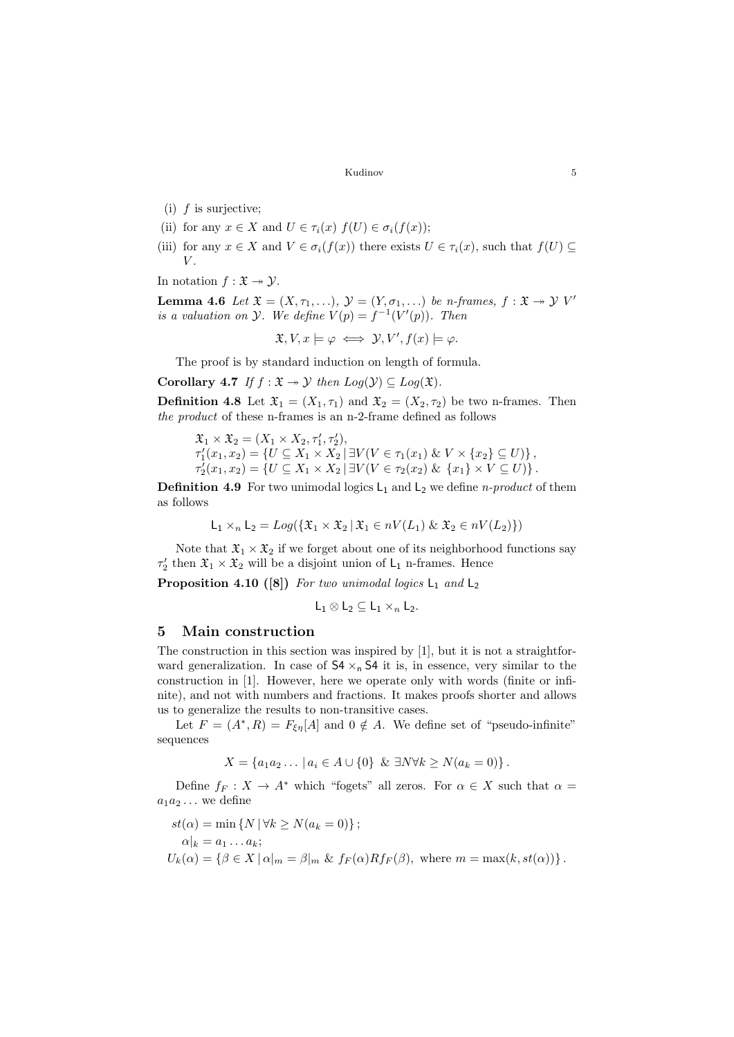- (i)  $f$  is surjective;
- (ii) for any  $x \in X$  and  $U \in \tau_i(x)$   $f(U) \in \sigma_i(f(x));$
- (iii) for any  $x \in X$  and  $V \in \sigma_i(f(x))$  there exists  $U \in \tau_i(x)$ , such that  $f(U) \subseteq$  $V$ .

In notation  $f : \mathfrak{X} \rightarrow \mathcal{Y}$ .

<span id="page-4-1"></span>**Lemma 4.6** Let  $\mathfrak{X} = (X, \tau_1, \ldots), \mathfrak{Y} = (Y, \sigma_1, \ldots)$  be n-frames,  $f : \mathfrak{X} \to \mathcal{Y}$  V' is a valuation on  $\mathcal Y$ . We define  $V(p) = f^{-1}(V'(p))$ . Then

$$
\mathfrak{X}, V, x \models \varphi \iff \mathcal{Y}, V', f(x) \models \varphi.
$$

The proof is by standard induction on length of formula.

Corollary 4.7 If  $f : \mathfrak{X} \rightarrow \mathcal{Y}$  then  $Log(\mathcal{Y}) \subseteq Log(\mathfrak{X})$ .

**Definition 4.8** Let  $\mathfrak{X}_1 = (X_1, \tau_1)$  and  $\mathfrak{X}_2 = (X_2, \tau_2)$  be two n-frames. Then the product of these n-frames is an n-2-frame defined as follows

$$
\mathfrak{X}_1 \times \mathfrak{X}_2 = (X_1 \times X_2, \tau'_1, \tau'_2), \n\tau'_1(x_1, x_2) = \{ U \subseteq X_1 \times X_2 \mid \exists V(V \in \tau_1(x_1) \& V \times \{x_2\} \subseteq U) \}, \n\tau'_2(x_1, x_2) = \{ U \subseteq X_1 \times X_2 \mid \exists V(V \in \tau_2(x_2) \& \{x_1\} \times V \subseteq U) \}.
$$

**Definition 4.9** For two unimodal logics  $L_1$  and  $L_2$  we define *n-product* of them as follows

$$
\mathsf{L}_1 \times_n \mathsf{L}_2 = Log(\{\mathfrak{X}_1 \times \mathfrak{X}_2 \mid \mathfrak{X}_1 \in nV(L_1) \& \mathfrak{X}_2 \in nV(L_2)\})
$$

Note that  $\mathfrak{X}_1 \times \mathfrak{X}_2$  if we forget about one of its neighborhood functions say  $\tau'_2$  then  $\mathfrak{X}_1 \times \mathfrak{X}_2$  will be a disjoint union of  $\mathsf{L}_1$  n-frames. Hence

<span id="page-4-2"></span>**Proposition 4.10** ([\[8\]](#page-8-2)) For two unimodal logics  $L_1$  and  $L_2$ 

$$
\mathsf{L}_1 \otimes \mathsf{L}_2 \subseteq \mathsf{L}_1 \times_n \mathsf{L}_2.
$$

#### 5 Main construction

The construction in this section was inspired by [\[1\]](#page-8-3), but it is not a straightforward generalization. In case of  $54 \times_{n} 54$  it is, in essence, very similar to the construction in [\[1\]](#page-8-3). However, here we operate only with words (finite or infinite), and not with numbers and fractions. It makes proofs shorter and allows us to generalize the results to non-transitive cases.

Let  $F = (A^*, R) = F_{\xi\eta}[A]$  and  $0 \notin A$ . We define set of "pseudo-infinite" sequences

$$
X = \{a_1 a_2 \dots \mid a_i \in A \cup \{0\} \& \exists N \forall k \ge N (a_k = 0) \}.
$$

Define  $f_F : X \to A^*$  which "fogets" all zeros. For  $\alpha \in X$  such that  $\alpha =$  $a_1a_2\ldots$  we define

<span id="page-4-0"></span>
$$
st(\alpha) = \min \{ N \mid \forall k \ge N(a_k = 0) \};
$$
  
\n
$$
\alpha|_k = a_1 \dots a_k;
$$
  
\n
$$
U_k(\alpha) = \{ \beta \in X \mid \alpha|_m = \beta|_m \& f_F(\alpha) R f_F(\beta), \text{ where } m = \max(k, st(\alpha)) \}.
$$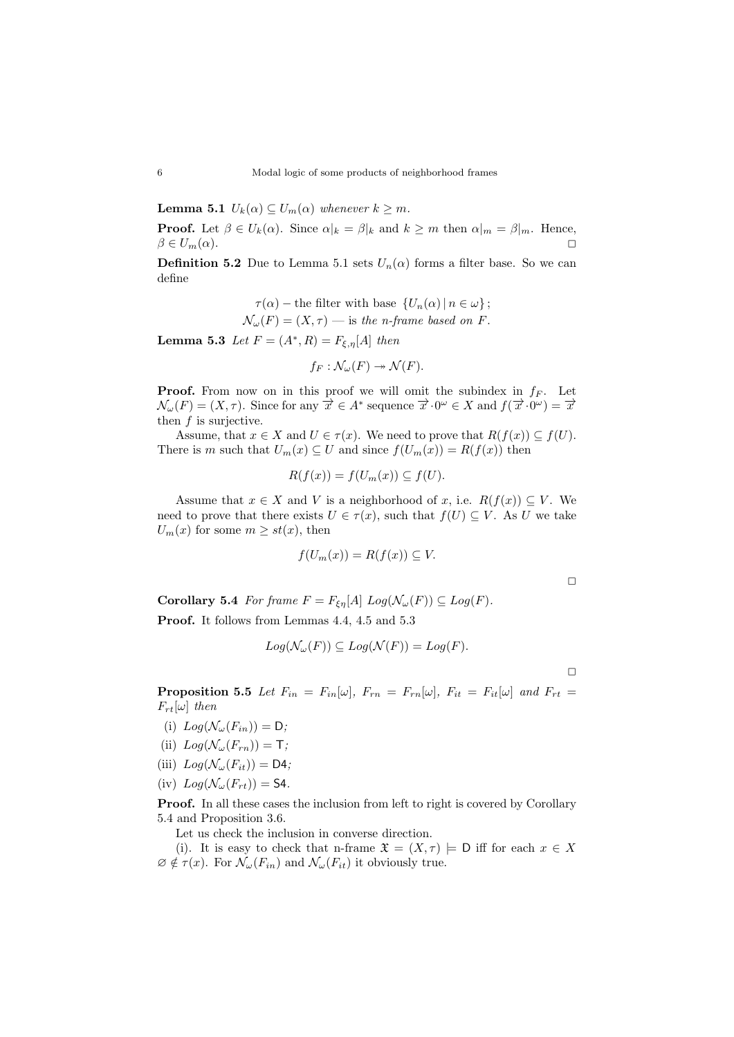**Lemma 5.1**  $U_k(\alpha) \subseteq U_m(\alpha)$  whenever  $k \geq m$ .

**Proof.** Let  $\beta \in U_k(\alpha)$ . Since  $\alpha|_k = \beta|_k$  and  $k \geq m$  then  $\alpha|_m = \beta|_m$ . Hence,  $\beta \in U_m(\alpha).$ 

**Definition 5.2** Due to Lemma [5.1](#page-4-0) sets  $U_n(\alpha)$  forms a filter base. So we can define

$$
\tau(\alpha) - \text{the filter with base } \{U_n(\alpha) \mid n \in \omega\};
$$
  

$$
\mathcal{N}_{\omega}(F) = (X, \tau) - \text{is the } n\text{-frame based on } F.
$$

<span id="page-5-0"></span>**Lemma 5.3** Let  $F = (A^*, R) = F_{\xi, \eta}[A]$  then

$$
f_F:\mathcal{N}_{\omega}(F)\twoheadrightarrow \mathcal{N}(F).
$$

**Proof.** From now on in this proof we will omit the subindex in  $f_F$ . Let  $\mathcal{N}_{\omega}(F) = (X, \tau)$ . Since for any  $\overrightarrow{x} \in A^*$  sequence  $\overrightarrow{x} \cdot 0^{\omega} \in X$  and  $f(\overrightarrow{x} \cdot 0^{\omega}) = \overrightarrow{x}$ then  $f$  is surjective.

Assume, that  $x \in X$  and  $U \in \tau(x)$ . We need to prove that  $R(f(x)) \subseteq f(U)$ . There is m such that  $U_m(x) \subseteq U$  and since  $f(U_m(x)) = R(f(x))$  then

$$
R(f(x)) = f(U_m(x)) \subseteq f(U).
$$

Assume that  $x \in X$  and V is a neighborhood of x, i.e.  $R(f(x)) \subseteq V$ . We need to prove that there exists  $U \in \tau(x)$ , such that  $f(U) \subseteq V$ . As U we take  $U_m(x)$  for some  $m \geq st(x)$ , then

$$
f(U_m(x)) = R(f(x)) \subseteq V.
$$

 $\Box$ 

<span id="page-5-1"></span>**Corollary 5.4** For frame  $F = F_{\xi \eta}[A] Log(\mathcal{N}_{\omega}(F)) \subseteq Log(F)$ .

Proof. It follows from Lemmas [4.4,](#page-3-0) [4.5](#page-3-1) and [5.3](#page-5-0)

$$
Log(\mathcal{N}_{\omega}(F)) \subseteq Log(\mathcal{N}(F)) = Log(F).
$$

 $\Box$ 

<span id="page-5-6"></span>**Proposition 5.5** Let  $F_{in} = F_{in}[\omega]$ ,  $F_{rn} = F_{rn}[\omega]$ ,  $F_{it} = F_{it}[\omega]$  and  $F_{rt} =$  $F_{rt}[\omega]$  then

- <span id="page-5-2"></span>(i)  $Log(\mathcal{N}_{\omega}(F_{in})) = D;$
- <span id="page-5-3"></span>(ii)  $Log(\mathcal{N}_{\omega}(F_{rn})) = T;$
- <span id="page-5-4"></span>(iii)  $Log(\mathcal{N}_{\omega}(F_{it})) = \mathsf{D4};$
- <span id="page-5-5"></span>(iv)  $Log(\mathcal{N}_{\omega}(F_{rt})) =$  **S4**.

Proof. In all these cases the inclusion from left to right is covered by Corollary [5.4](#page-5-1) and Proposition [3.6.](#page-3-2)

Let us check the inclusion in converse direction.

[\(i\)](#page-5-2). It is easy to check that n-frame  $\mathfrak{X} = (X, \tau) \models D$  iff for each  $x \in X$  $\emptyset \notin \tau(x)$ . For  $\mathcal{N}_{\omega}(F_{in})$  and  $\mathcal{N}_{\omega}(F_{it})$  it obviously true.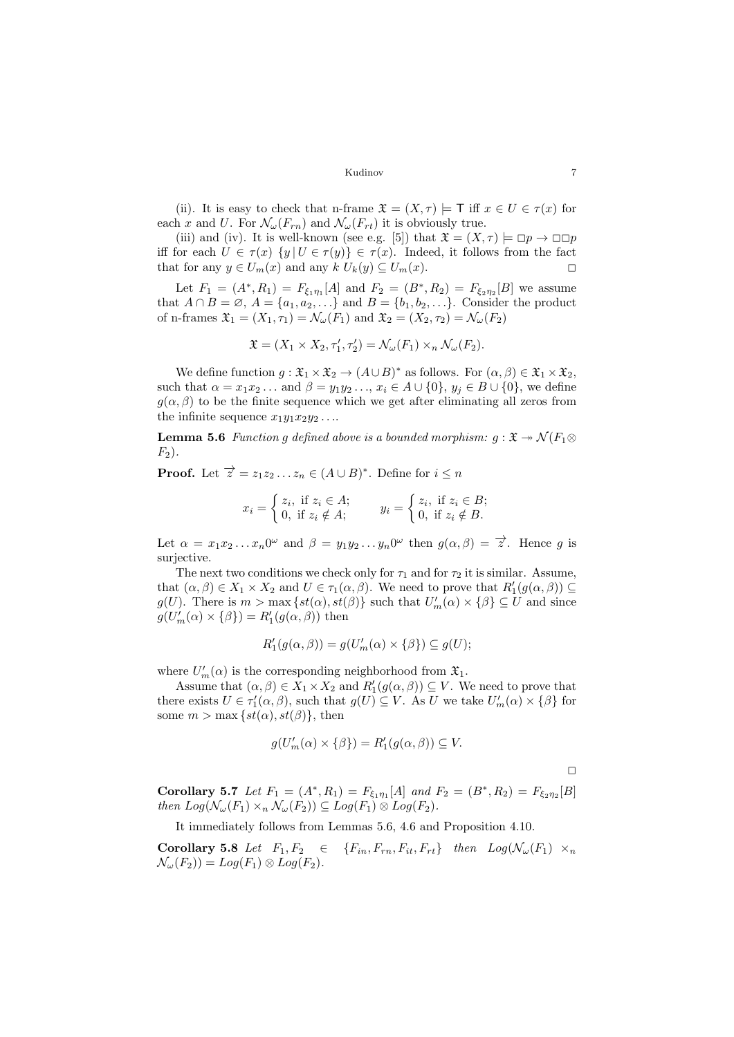[\(ii\)](#page-5-3). It is easy to check that n-frame  $\mathfrak{X} = (X, \tau) \models \top$  iff  $x \in U \in \tau(x)$  for each x and U. For  $\mathcal{N}_{\omega}(F_{rn})$  and  $\mathcal{N}_{\omega}(F_{rt})$  it is obviously true.

[\(iii\)](#page-5-4) and [\(iv\)](#page-5-5). It is well-known (see e.g. [\[5\]](#page-8-12)) that  $\mathfrak{X} = (X, \tau) \models \Box p \rightarrow \Box \Box p$ iff for each  $U \in \tau(x)$   $\{y | U \in \tau(y)\} \in \tau(x)$ . Indeed, it follows from the fact that for any  $y \in U_m(x)$  and any  $k U_k(y) \subseteq U_m(x)$ .

Let  $F_1 = (A^*, R_1) = F_{\xi_1 \eta_1}[A]$  and  $F_2 = (B^*, R_2) = F_{\xi_2 \eta_2}[B]$  we assume that  $A \cap B = \emptyset$ ,  $A = \{a_1, a_2, \ldots\}$  and  $B = \{b_1, b_2, \ldots\}$ . Consider the product of n-frames  $\mathfrak{X}_1 = (X_1, \tau_1) = \mathcal{N}_{\omega}(F_1)$  and  $\mathfrak{X}_2 = (X_2, \tau_2) = \mathcal{N}_{\omega}(F_2)$ 

$$
\mathfrak{X} = (X_1 \times X_2, \tau'_1, \tau'_2) = \mathcal{N}_{\omega}(F_1) \times_n \mathcal{N}_{\omega}(F_2).
$$

We define function  $g: \mathfrak{X}_1 \times \mathfrak{X}_2 \to (A \cup B)^*$  as follows. For  $(\alpha, \beta) \in \mathfrak{X}_1 \times \mathfrak{X}_2$ , such that  $\alpha = x_1x_2...$  and  $\beta = y_1y_2..., x_i \in A \cup \{0\}, y_j \in B \cup \{0\}, w$ e define  $q(\alpha, \beta)$  to be the finite sequence which we get after eliminating all zeros from the infinite sequence  $x_1y_1x_2y_2...$ 

<span id="page-6-0"></span>**Lemma 5.6** Function g defined above is a bounded morphism:  $g: \mathfrak{X} \rightarrow \mathcal{N}(F_1 \otimes$  $F_2$ ).

**Proof.** Let  $\overrightarrow{z} = z_1 z_2 ... z_n \in (A \cup B)^*$ . Define for  $i \leq n$ 

$$
x_i = \begin{cases} z_i, & \text{if } z_i \in A; \\ 0, & \text{if } z_i \notin A; \end{cases} \qquad y_i = \begin{cases} z_i, & \text{if } z_i \in B; \\ 0, & \text{if } z_i \notin B. \end{cases}
$$

Let  $\alpha = x_1 x_2 ... x_n 0^{\omega}$  and  $\beta = y_1 y_2 ... y_n 0^{\omega}$  then  $g(\alpha, \beta) = \overrightarrow{z}$ . Hence g is surjective.

The next two conditions we check only for  $\tau_1$  and for  $\tau_2$  it is similar. Assume, that  $(\alpha, \beta) \in X_1 \times X_2$  and  $U \in \tau_1(\alpha, \beta)$ . We need to prove that  $R'_1(g(\alpha, \beta)) \subseteq$  $g(U)$ . There is  $m > \max \{st(\alpha), st(\beta)\}\$  such that  $U'_m(\alpha) \times {\beta} \subseteq U$  and since  $g(U'_m(\alpha) \times {\{\beta\}}) = R'_1(g(\alpha, \beta))$  then

$$
R'_1(g(\alpha,\beta)) = g(U'_m(\alpha) \times \{\beta\}) \subseteq g(U);
$$

where  $U'_m(\alpha)$  is the corresponding neighborhood from  $\mathfrak{X}_1$ .

Assume that  $(\alpha, \beta) \in X_1 \times X_2$  and  $R'_1(g(\alpha, \beta)) \subseteq V$ . We need to prove that there exists  $U \in \tau'_1(\alpha, \beta)$ , such that  $g(U) \subseteq V$ . As U we take  $U'_m(\alpha) \times {\beta}$  for some  $m > \max \{st(\alpha), st(\beta)\}\text{, then}$ 

$$
g(U'_m(\alpha) \times \{\beta\}) = R'_1(g(\alpha, \beta)) \subseteq V.
$$

 $\Box$ 

<span id="page-6-1"></span>Corollary 5.7 Let  $F_1 = (A^*, R_1) = F_{\xi_1 \eta_1}[A]$  and  $F_2 = (B^*, R_2) = F_{\xi_2 \eta_2}[B]$ then  $Log(\mathcal{N}_{\omega}(F_1) \times_n \mathcal{N}_{\omega}(F_2)) \subseteq Log(F_1) \otimes Log(F_2)$ .

It immediately follows from Lemmas [5.6,](#page-6-0) [4.6](#page-4-1) and Proposition [4.10.](#page-4-2)

<span id="page-6-2"></span>Corollary 5.8 Let  $F_1, F_2 \in \{F_{in}, F_{rn}, F_{it}, F_{rt}\}$  then  $Log(\mathcal{N}_{\omega}(F_1) \times_n$  $\mathcal{N}_{\omega}(F_2)$  =  $Log(F_1) \otimes Log(F_2)$ .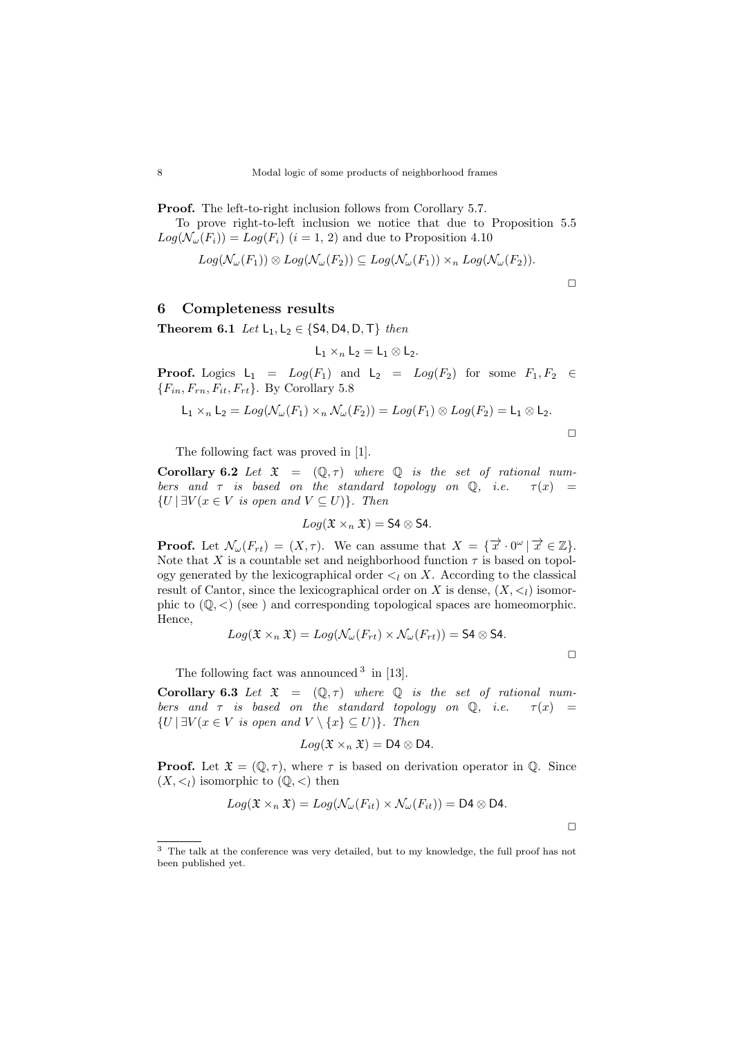Proof. The left-to-right inclusion follows from Corollary [5.7.](#page-6-1)

To prove right-to-left inclusion we notice that due to Proposition [5.5](#page-5-6)  $Log(\mathcal{N}_{\omega}(F_i)) = Log(F_i)$   $(i = 1, 2)$  and due to Proposition [4.10](#page-4-2)

$$
Log(\mathcal{N}_{\omega}(F_1)) \otimes Log(\mathcal{N}_{\omega}(F_2)) \subseteq Log(\mathcal{N}_{\omega}(F_1)) \times_n Log(\mathcal{N}_{\omega}(F_2)).
$$

 $\Box$ 

 $\Box$ 

## 6 Completeness results

Theorem 6.1 Let  $L_1, L_2 \in \{S4, D4, D, T\}$  then

$$
\mathsf{L}_1 \times_n \mathsf{L}_2 = \mathsf{L}_1 \otimes \mathsf{L}_2.
$$

**Proof.** Logics  $L_1 = Log(F_1)$  and  $L_2 = Log(F_2)$  for some  $F_1, F_2 \in$  ${F_{in, F_{rn}, F_{it}, F_{rt}}$ . By Corollary [5.8](#page-6-2)

$$
L_1 \times_n L_2 = Log(\mathcal{N}_{\omega}(F_1) \times_n \mathcal{N}_{\omega}(F_2)) = Log(F_1) \otimes Log(F_2) = L_1 \otimes L_2.
$$

The following fact was proved in [\[1\]](#page-8-3).

Corollary 6.2 Let  $\mathfrak{X} = (\mathbb{Q}, \tau)$  where  $\mathbb Q$  is the set of rational numbers and  $\tau$  is based on the standard topology on  $\mathbb{Q}$ , i.e.  $\tau(x) =$  $\{U \mid \exists V (x \in V \text{ is open and } V \subseteq U)\}.$  Then

$$
Log(\mathfrak{X} \times_n \mathfrak{X}) = \mathsf{S4} \otimes \mathsf{S4}.
$$

**Proof.** Let  $\mathcal{N}_{\omega}(F_{rt}) = (X, \tau)$ . We can assume that  $X = \{ \vec{x} \cdot 0^{\omega} \mid \vec{x} \in \mathbb{Z} \}.$ Note that X is a countable set and neighborhood function  $\tau$  is based on topology generated by the lexicographical order  $\leq_l$  on X. According to the classical result of Cantor, since the lexicographical order on X is dense,  $(X, \leq_l)$  isomorphic to  $(\mathbb{Q}, \leq)$  (see ) and corresponding topological spaces are homeomorphic. Hence,

$$
Log(\mathfrak{X} \times_n \mathfrak{X}) = Log(\mathcal{N}_{\omega}(F_{rt}) \times \mathcal{N}_{\omega}(F_{rt})) = \mathsf{S4} \otimes \mathsf{S4}.
$$

 $\Box$ 

 $\Box$ 

The following fact was announced  $3$  in [\[13\]](#page-8-6).

Corollary 6.3 Let  $\mathfrak{X} = (\mathbb{Q}, \tau)$  where  $\mathbb{Q}$  is the set of rational numbers and  $\tau$  is based on the standard topology on Q, i.e.  $\tau(x)$  =  $\{U \mid \exists V (x \in V \text{ is open and } V \setminus \{x\} \subseteq U)\}.$  Then

$$
Log(\mathfrak{X} \times_n \mathfrak{X}) = D4 \otimes D4.
$$

**Proof.** Let  $\mathfrak{X} = (\mathbb{Q}, \tau)$ , where  $\tau$  is based on derivation operator in  $\mathbb{Q}$ . Since  $(X, \leq_l)$  isomorphic to  $(\mathbb{Q}, \leq)$  then

$$
Log(\mathfrak{X} \times_n \mathfrak{X}) = Log(\mathcal{N}_{\omega}(F_{it}) \times \mathcal{N}_{\omega}(F_{it})) = \mathsf{D4} \otimes \mathsf{D4}.
$$

<span id="page-7-0"></span><sup>3</sup> The talk at the conference was very detailed, but to my knowledge, the full proof has not been published yet.